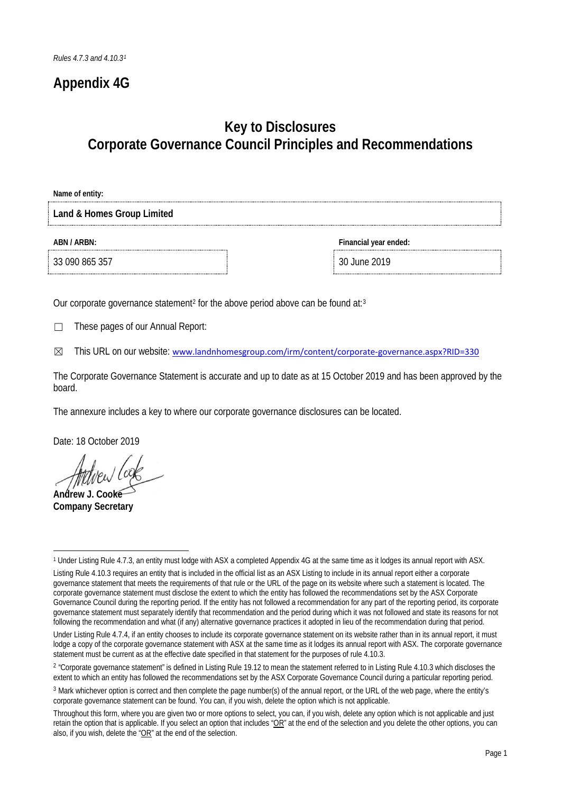## **Appendix 4G**

## **Key to Disclosures Corporate Governance Council Principles and Recommendations**

**Name of entity:**

**Land & Homes Group Limited**

33 090 865 357 30 June 2019

**ABN / ARBN: Financial year ended:**

Our corporate governance statement<sup>[2](#page-0-1)</sup> for the above period above can be found at:<sup>[3](#page-0-2)</sup>

☐ These pages of our Annual Report:

☒ This URL on our website: [www.landnhomesgroup.com/irm/content/corporate-governance.aspx?RID=330](http://www.landnhomesgroup.com/irm/content/corporate-governance.aspx?RID=330)

The Corporate Governance Statement is accurate and up to date as at 15 October 2019 and has been approved by the board.

The annexure includes a key to where our corporate governance disclosures can be located.

Date: 18 October 2019

**Andrew J. Cooke**

**Company Secretary**

<span id="page-0-0"></span><sup>-</sup><sup>1</sup> Under Listing Rule 4.7.3, an entity must lodge with ASX a completed Appendix 4G at the same time as it lodges its annual report with ASX.

Listing Rule 4.10.3 requires an entity that is included in the official list as an ASX Listing to include in its annual report either a corporate governance statement that meets the requirements of that rule or the URL of the page on its website where such a statement is located. The corporate governance statement must disclose the extent to which the entity has followed the recommendations set by the ASX Corporate Governance Council during the reporting period. If the entity has not followed a recommendation for any part of the reporting period, its corporate governance statement must separately identify that recommendation and the period during which it was not followed and state its reasons for not following the recommendation and what (if any) alternative governance practices it adopted in lieu of the recommendation during that period.

Under Listing Rule 4.7.4, if an entity chooses to include its corporate governance statement on its website rather than in its annual report, it must lodge a copy of the corporate governance statement with ASX at the same time as it lodges its annual report with ASX. The corporate governance statement must be current as at the effective date specified in that statement for the purposes of rule 4.10.3.

<span id="page-0-1"></span><sup>&</sup>lt;sup>2</sup> "Corporate governance statement" is defined in Listing Rule 19.12 to mean the statement referred to in Listing Rule 4.10.3 which discloses the extent to which an entity has followed the recommendations set by the ASX Corporate Governance Council during a particular reporting period.

<span id="page-0-2"></span><sup>3</sup> Mark whichever option is correct and then complete the page number(s) of the annual report, or the URL of the web page, where the entity's corporate governance statement can be found. You can, if you wish, delete the option which is not applicable.

Throughout this form, where you are given two or more options to select, you can, if you wish, delete any option which is not applicable and just retain the option that is applicable. If you select an option that includes " $OR$ " at the end of the selection and you delete the other options, you can also, if you wish, delete the "OR" at the end of the selection.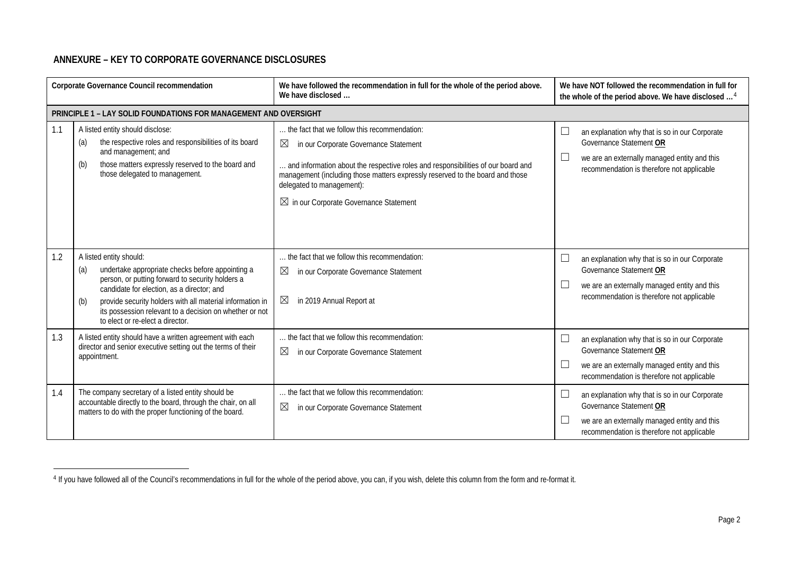## <span id="page-1-0"></span>**ANNEXURE – KEY TO CORPORATE GOVERNANCE DISCLOSURES**

-

| Corporate Governance Council recommendation |                                                                                                                                                                                                                                                                                                                                                         | We have followed the recommendation in full for the whole of the period above.<br>We have disclosed                                                                                                                                                                                                                                               | We have NOT followed the recommendation in full for<br>the whole of the period above. We have disclosed <sup>4</sup>                                                                           |
|---------------------------------------------|---------------------------------------------------------------------------------------------------------------------------------------------------------------------------------------------------------------------------------------------------------------------------------------------------------------------------------------------------------|---------------------------------------------------------------------------------------------------------------------------------------------------------------------------------------------------------------------------------------------------------------------------------------------------------------------------------------------------|------------------------------------------------------------------------------------------------------------------------------------------------------------------------------------------------|
|                                             | PRINCIPLE 1 - LAY SOLID FOUNDATIONS FOR MANAGEMENT AND OVERSIGHT                                                                                                                                                                                                                                                                                        |                                                                                                                                                                                                                                                                                                                                                   |                                                                                                                                                                                                |
| 1.1                                         | A listed entity should disclose:<br>the respective roles and responsibilities of its board<br>(a)<br>and management; and<br>those matters expressly reserved to the board and<br>(b)<br>those delegated to management.                                                                                                                                  | the fact that we follow this recommendation:<br>⊠<br>in our Corporate Governance Statement<br>and information about the respective roles and responsibilities of our board and<br>management (including those matters expressly reserved to the board and those<br>delegated to management):<br>$\boxtimes$ in our Corporate Governance Statement | an explanation why that is so in our Corporate<br>L<br>Governance Statement OR<br>we are an externally managed entity and this<br>$\Box$<br>recommendation is therefore not applicable         |
| 1.2                                         | A listed entity should:<br>undertake appropriate checks before appointing a<br>(a)<br>person, or putting forward to security holders a<br>candidate for election, as a director; and<br>provide security holders with all material information in<br>(b)<br>its possession relevant to a decision on whether or not<br>to elect or re-elect a director. | the fact that we follow this recommendation:<br>⊠<br>in our Corporate Governance Statement<br>$\boxtimes$<br>in 2019 Annual Report at                                                                                                                                                                                                             | an explanation why that is so in our Corporate<br>$\mathbb{R}^n$<br>Governance Statement OR<br>we are an externally managed entity and this<br>∟<br>recommendation is therefore not applicable |
| 1.3                                         | A listed entity should have a written agreement with each<br>director and senior executive setting out the terms of their<br>appointment.                                                                                                                                                                                                               | the fact that we follow this recommendation:<br>⊠<br>in our Corporate Governance Statement                                                                                                                                                                                                                                                        | $\Box$<br>an explanation why that is so in our Corporate<br>Governance Statement OR<br>∟<br>we are an externally managed entity and this<br>recommendation is therefore not applicable         |
| 1.4                                         | The company secretary of a listed entity should be<br>accountable directly to the board, through the chair, on all<br>matters to do with the proper functioning of the board.                                                                                                                                                                           | the fact that we follow this recommendation:<br>⊠<br>in our Corporate Governance Statement                                                                                                                                                                                                                                                        | L<br>an explanation why that is so in our Corporate<br>Governance Statement OR<br>we are an externally managed entity and this<br>L<br>recommendation is therefore not applicable              |

<sup>4</sup> If you have followed all of the Council's recommendations in full for the whole of the period above, you can, if you wish, delete this column from the form and re-format it.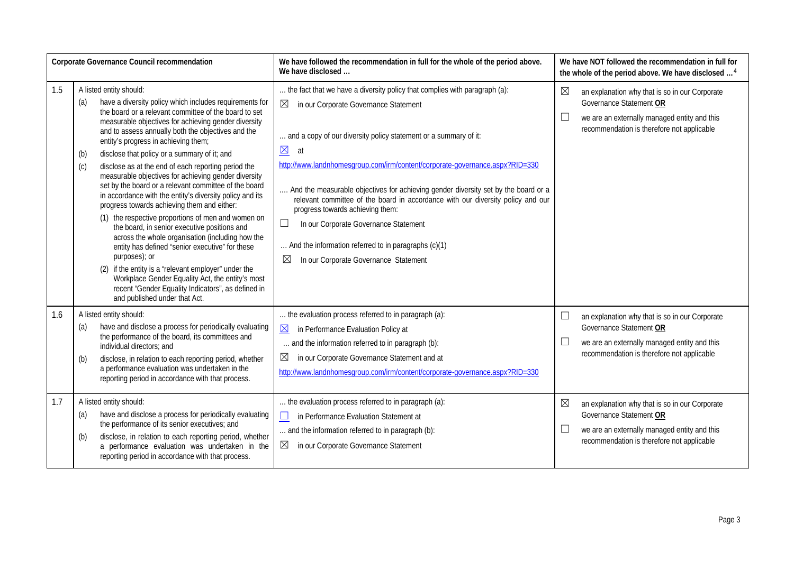| Corporate Governance Council recommendation |                                                                                                                                                                                                                                                                                                                                                                                                                                                                                                                                                                                                                                                                                                                                                                                                                                                                                                                                                                                                                                                                                            | We have followed the recommendation in full for the whole of the period above.<br>We have disclosed                                                                                                                                                                                                                                                                                                                                                                                                                                                                                                                                                                                           |                  | We have NOT followed the recommendation in full for<br>the whole of the period above. We have disclosed <sup>4</sup>                                                                                                      |
|---------------------------------------------|--------------------------------------------------------------------------------------------------------------------------------------------------------------------------------------------------------------------------------------------------------------------------------------------------------------------------------------------------------------------------------------------------------------------------------------------------------------------------------------------------------------------------------------------------------------------------------------------------------------------------------------------------------------------------------------------------------------------------------------------------------------------------------------------------------------------------------------------------------------------------------------------------------------------------------------------------------------------------------------------------------------------------------------------------------------------------------------------|-----------------------------------------------------------------------------------------------------------------------------------------------------------------------------------------------------------------------------------------------------------------------------------------------------------------------------------------------------------------------------------------------------------------------------------------------------------------------------------------------------------------------------------------------------------------------------------------------------------------------------------------------------------------------------------------------|------------------|---------------------------------------------------------------------------------------------------------------------------------------------------------------------------------------------------------------------------|
| 1.5                                         | A listed entity should:<br>have a diversity policy which includes requirements for<br>(a)<br>the board or a relevant committee of the board to set<br>measurable objectives for achieving gender diversity<br>and to assess annually both the objectives and the<br>entity's progress in achieving them;<br>disclose that policy or a summary of it; and<br>(b)<br>disclose as at the end of each reporting period the<br>(c)<br>measurable objectives for achieving gender diversity<br>set by the board or a relevant committee of the board<br>in accordance with the entity's diversity policy and its<br>progress towards achieving them and either:<br>(1) the respective proportions of men and women on<br>the board, in senior executive positions and<br>across the whole organisation (including how the<br>entity has defined "senior executive" for these<br>purposes); or<br>(2) if the entity is a "relevant employer" under the<br>Workplace Gender Equality Act, the entity's most<br>recent "Gender Equality Indicators", as defined in<br>and published under that Act. | the fact that we have a diversity policy that complies with paragraph (a):<br>$\boxtimes$<br>in our Corporate Governance Statement<br>and a copy of our diversity policy statement or a summary of it:<br>$\underline{\boxtimes}$<br>at<br>http://www.landnhomesgroup.com/irm/content/corporate-governance.aspx?RID=330<br>And the measurable objectives for achieving gender diversity set by the board or a<br>relevant committee of the board in accordance with our diversity policy and our<br>progress towards achieving them:<br>$\Box$<br>In our Corporate Governance Statement<br>And the information referred to in paragraphs (c)(1)<br>⊠<br>In our Corporate Governance Statement | $\boxtimes$<br>ш | an explanation why that is so in our Corporate<br>Governance Statement OR<br>we are an externally managed entity and this<br>recommendation is therefore not applicable                                                   |
| 1.6<br>1.7                                  | A listed entity should:<br>have and disclose a process for periodically evaluating<br>(a)<br>the performance of the board, its committees and<br>individual directors; and<br>disclose, in relation to each reporting period, whether<br>(b)<br>a performance evaluation was undertaken in the<br>reporting period in accordance with that process.<br>A listed entity should:                                                                                                                                                                                                                                                                                                                                                                                                                                                                                                                                                                                                                                                                                                             | the evaluation process referred to in paragraph (a):<br>$\underline{\boxtimes}$<br>in Performance Evaluation Policy at<br>and the information referred to in paragraph (b):<br>$\boxtimes$<br>in our Corporate Governance Statement and at<br>http://www.landnhomesgroup.com/irm/content/corporate-governance.aspx?RID=330<br>the evaluation process referred to in paragraph (a):                                                                                                                                                                                                                                                                                                            | ப<br>ш<br>⊠      | an explanation why that is so in our Corporate<br>Governance Statement OR<br>we are an externally managed entity and this<br>recommendation is therefore not applicable<br>an explanation why that is so in our Corporate |
|                                             | have and disclose a process for periodically evaluating<br>(a)<br>the performance of its senior executives; and<br>(b)<br>disclose, in relation to each reporting period, whether<br>a performance evaluation was undertaken in the<br>reporting period in accordance with that process.                                                                                                                                                                                                                                                                                                                                                                                                                                                                                                                                                                                                                                                                                                                                                                                                   | in Performance Evaluation Statement at<br>$\square$<br>and the information referred to in paragraph (b):<br>$\boxtimes$<br>in our Corporate Governance Statement                                                                                                                                                                                                                                                                                                                                                                                                                                                                                                                              | $\Box$           | Governance Statement OR<br>we are an externally managed entity and this<br>recommendation is therefore not applicable                                                                                                     |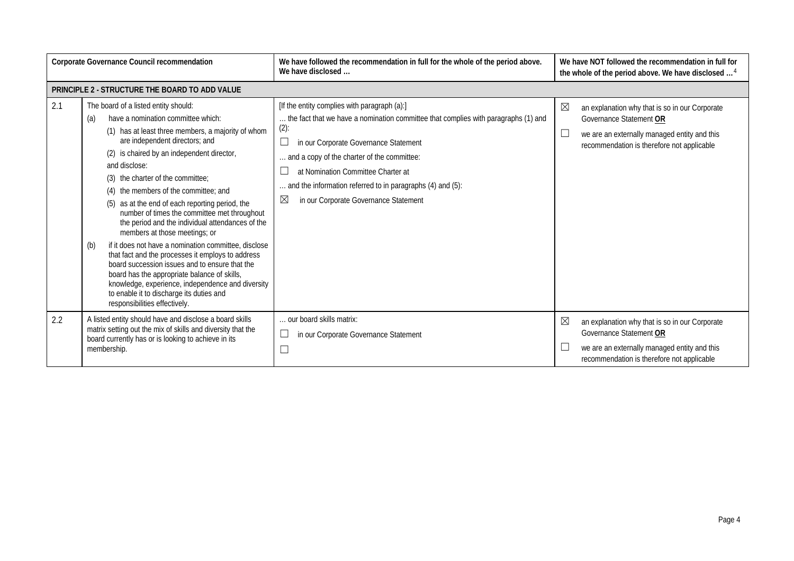| Corporate Governance Council recommendation |                                                                                                                                                                                                                                                                                                                                                                                                                                                                                                                                                                                                                                                                                                                                                                                                                                                                        | We have followed the recommendation in full for the whole of the period above.<br>We have disclosed                                                                                                                                                                                                                                                                                                    |             | We have NOT followed the recommendation in full for<br>the whole of the period above. We have disclosed <sup>4</sup>                                                    |
|---------------------------------------------|------------------------------------------------------------------------------------------------------------------------------------------------------------------------------------------------------------------------------------------------------------------------------------------------------------------------------------------------------------------------------------------------------------------------------------------------------------------------------------------------------------------------------------------------------------------------------------------------------------------------------------------------------------------------------------------------------------------------------------------------------------------------------------------------------------------------------------------------------------------------|--------------------------------------------------------------------------------------------------------------------------------------------------------------------------------------------------------------------------------------------------------------------------------------------------------------------------------------------------------------------------------------------------------|-------------|-------------------------------------------------------------------------------------------------------------------------------------------------------------------------|
|                                             | PRINCIPLE 2 - STRUCTURE THE BOARD TO ADD VALUE                                                                                                                                                                                                                                                                                                                                                                                                                                                                                                                                                                                                                                                                                                                                                                                                                         |                                                                                                                                                                                                                                                                                                                                                                                                        |             |                                                                                                                                                                         |
| 2.1                                         | The board of a listed entity should:<br>have a nomination committee which:<br>(a)<br>(1) has at least three members, a majority of whom<br>are independent directors; and<br>(2) is chaired by an independent director,<br>and disclose:<br>(3) the charter of the committee;<br>(4) the members of the committee; and<br>(5) as at the end of each reporting period, the<br>number of times the committee met throughout<br>the period and the individual attendances of the<br>members at those meetings; or<br>if it does not have a nomination committee, disclose<br>(b)<br>that fact and the processes it employs to address<br>board succession issues and to ensure that the<br>board has the appropriate balance of skills,<br>knowledge, experience, independence and diversity<br>to enable it to discharge its duties and<br>responsibilities effectively. | [If the entity complies with paragraph (a):]<br>the fact that we have a nomination committee that complies with paragraphs (1) and<br>$(2)$ :<br>in our Corporate Governance Statement<br>ப<br>and a copy of the charter of the committee:<br>at Nomination Committee Charter at<br>and the information referred to in paragraphs (4) and (5):<br>$\boxtimes$<br>in our Corporate Governance Statement | $\boxtimes$ | an explanation why that is so in our Corporate<br>Governance Statement OR<br>we are an externally managed entity and this<br>recommendation is therefore not applicable |
| 2.2                                         | A listed entity should have and disclose a board skills<br>matrix setting out the mix of skills and diversity that the<br>board currently has or is looking to achieve in its<br>membership.                                                                                                                                                                                                                                                                                                                                                                                                                                                                                                                                                                                                                                                                           | our board skills matrix:<br>in our Corporate Governance Statement                                                                                                                                                                                                                                                                                                                                      | $\boxtimes$ | an explanation why that is so in our Corporate<br>Governance Statement OR<br>we are an externally managed entity and this<br>recommendation is therefore not applicable |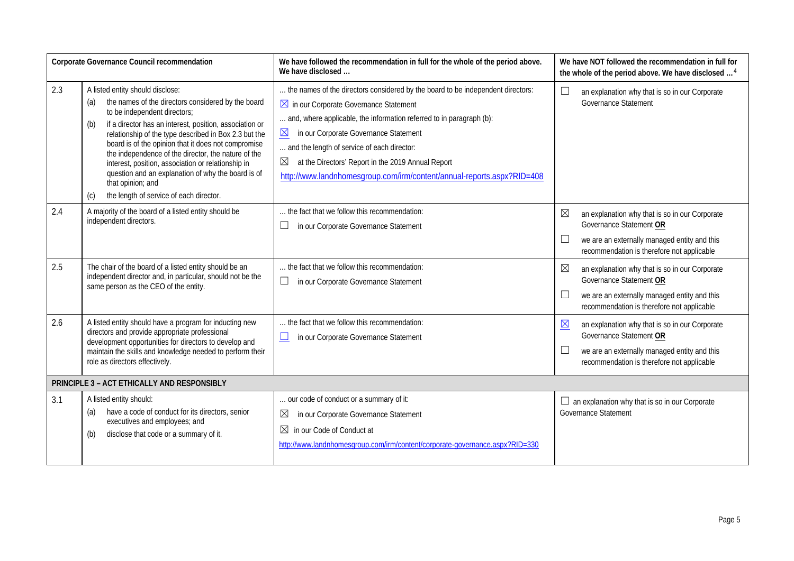| Corporate Governance Council recommendation |                                                                                                                                                                                                                                                                                                                                                                                                                                                                                                                                                           | We have followed the recommendation in full for the whole of the period above.<br>We have disclosed                                                                                                                                                                                                                                                                                                                                                                            | We have NOT followed the recommendation in full for<br>the whole of the period above. We have disclosed <sup>4</sup>                                                                                   |
|---------------------------------------------|-----------------------------------------------------------------------------------------------------------------------------------------------------------------------------------------------------------------------------------------------------------------------------------------------------------------------------------------------------------------------------------------------------------------------------------------------------------------------------------------------------------------------------------------------------------|--------------------------------------------------------------------------------------------------------------------------------------------------------------------------------------------------------------------------------------------------------------------------------------------------------------------------------------------------------------------------------------------------------------------------------------------------------------------------------|--------------------------------------------------------------------------------------------------------------------------------------------------------------------------------------------------------|
| 2.3                                         | A listed entity should disclose:<br>the names of the directors considered by the board<br>(a)<br>to be independent directors;<br>if a director has an interest, position, association or<br>(b)<br>relationship of the type described in Box 2.3 but the<br>board is of the opinion that it does not compromise<br>the independence of the director, the nature of the<br>interest, position, association or relationship in<br>question and an explanation of why the board is of<br>that opinion; and<br>the length of service of each director.<br>(c) | the names of the directors considered by the board to be independent directors:<br>$\boxtimes$ in our Corporate Governance Statement<br>and, where applicable, the information referred to in paragraph (b):<br>in our Corporate Governance Statement<br>$\underline{\boxtimes}$<br>and the length of service of each director:<br>$\boxtimes$<br>at the Directors' Report in the 2019 Annual Report<br>http://www.landnhomesgroup.com/irm/content/annual-reports.aspx?RID=408 | an explanation why that is so in our Corporate<br>⊔<br>Governance Statement                                                                                                                            |
| 2.4                                         | A majority of the board of a listed entity should be<br>independent directors.                                                                                                                                                                                                                                                                                                                                                                                                                                                                            | the fact that we follow this recommendation:<br>in our Corporate Governance Statement<br>ப                                                                                                                                                                                                                                                                                                                                                                                     | ⊠<br>an explanation why that is so in our Corporate<br>Governance Statement OR<br>⊔<br>we are an externally managed entity and this<br>recommendation is therefore not applicable                      |
| 2.5                                         | The chair of the board of a listed entity should be an<br>independent director and, in particular, should not be the<br>same person as the CEO of the entity.                                                                                                                                                                                                                                                                                                                                                                                             | the fact that we follow this recommendation:<br>$\Box$<br>in our Corporate Governance Statement                                                                                                                                                                                                                                                                                                                                                                                | ⊠<br>an explanation why that is so in our Corporate<br>Governance Statement OR<br>⊔<br>we are an externally managed entity and this<br>recommendation is therefore not applicable                      |
| 2.6                                         | A listed entity should have a program for inducting new<br>directors and provide appropriate professional<br>development opportunities for directors to develop and<br>maintain the skills and knowledge needed to perform their<br>role as directors effectively.                                                                                                                                                                                                                                                                                        | the fact that we follow this recommendation:<br>in our Corporate Governance Statement<br>$\Box$                                                                                                                                                                                                                                                                                                                                                                                | $\overline{\boxtimes}$<br>an explanation why that is so in our Corporate<br>Governance Statement OR<br>⊔<br>we are an externally managed entity and this<br>recommendation is therefore not applicable |
|                                             | PRINCIPLE 3 - ACT ETHICALLY AND RESPONSIBLY                                                                                                                                                                                                                                                                                                                                                                                                                                                                                                               |                                                                                                                                                                                                                                                                                                                                                                                                                                                                                |                                                                                                                                                                                                        |
| 3.1                                         | A listed entity should:<br>have a code of conduct for its directors, senior<br>(a)<br>executives and employees; and<br>disclose that code or a summary of it.<br>(b)                                                                                                                                                                                                                                                                                                                                                                                      | our code of conduct or a summary of it:<br>in our Corporate Governance Statement<br>$\boxtimes$<br>$\boxtimes$<br>in our Code of Conduct at<br>http://www.landnhomesgroup.com/irm/content/corporate-governance.aspx?RID=330                                                                                                                                                                                                                                                    | $\Box$ an explanation why that is so in our Corporate<br>Governance Statement                                                                                                                          |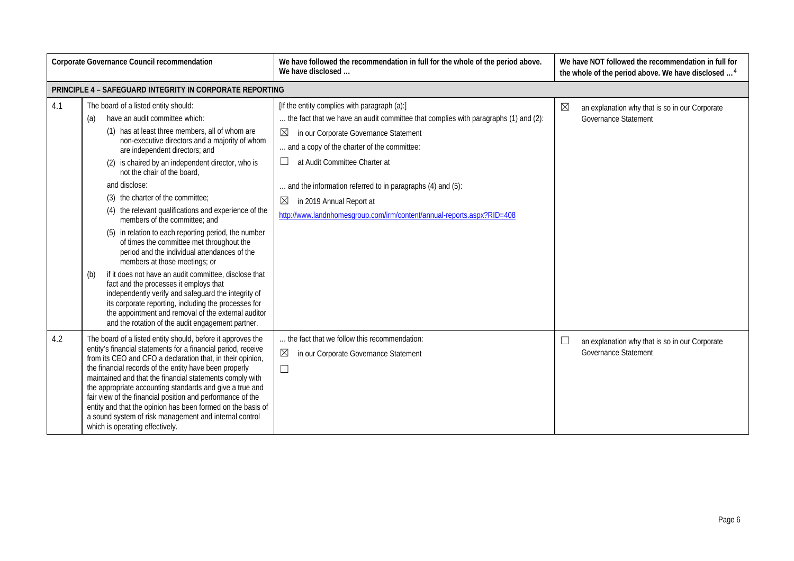| Corporate Governance Council recommendation |                                                                                                                                                                                                                                                                                                                                                                                                                                                                                                                                                                                                                                                                                                                                                                                                                                                                                                                                                                                     | We have followed the recommendation in full for the whole of the period above.<br>We have disclosed                                                                                                                                                                                                                                                                                                                                                                 | We have NOT followed the recommendation in full for<br>the whole of the period above. We have disclosed <sup>4</sup> |
|---------------------------------------------|-------------------------------------------------------------------------------------------------------------------------------------------------------------------------------------------------------------------------------------------------------------------------------------------------------------------------------------------------------------------------------------------------------------------------------------------------------------------------------------------------------------------------------------------------------------------------------------------------------------------------------------------------------------------------------------------------------------------------------------------------------------------------------------------------------------------------------------------------------------------------------------------------------------------------------------------------------------------------------------|---------------------------------------------------------------------------------------------------------------------------------------------------------------------------------------------------------------------------------------------------------------------------------------------------------------------------------------------------------------------------------------------------------------------------------------------------------------------|----------------------------------------------------------------------------------------------------------------------|
|                                             | PRINCIPLE 4 - SAFEGUARD INTEGRITY IN CORPORATE REPORTING                                                                                                                                                                                                                                                                                                                                                                                                                                                                                                                                                                                                                                                                                                                                                                                                                                                                                                                            |                                                                                                                                                                                                                                                                                                                                                                                                                                                                     |                                                                                                                      |
| 4.1                                         | The board of a listed entity should:<br>have an audit committee which:<br>(a)<br>(1) has at least three members, all of whom are<br>non-executive directors and a majority of whom<br>are independent directors; and<br>(2) is chaired by an independent director, who is<br>not the chair of the board,<br>and disclose:<br>(3) the charter of the committee;<br>(4) the relevant qualifications and experience of the<br>members of the committee; and<br>(5) in relation to each reporting period, the number<br>of times the committee met throughout the<br>period and the individual attendances of the<br>members at those meetings; or<br>if it does not have an audit committee, disclose that<br>(b)<br>fact and the processes it employs that<br>independently verify and safeguard the integrity of<br>its corporate reporting, including the processes for<br>the appointment and removal of the external auditor<br>and the rotation of the audit engagement partner. | [If the entity complies with paragraph (a):]<br>the fact that we have an audit committee that complies with paragraphs (1) and (2):<br>$\boxtimes$<br>in our Corporate Governance Statement<br>and a copy of the charter of the committee:<br>at Audit Committee Charter at<br>⊔<br>and the information referred to in paragraphs (4) and (5):<br>$\boxtimes$<br>in 2019 Annual Report at<br>http://www.landnhomesgroup.com/irm/content/annual-reports.aspx?RID=408 | $\boxtimes$<br>an explanation why that is so in our Corporate<br><b>Governance Statement</b>                         |
| 4.2                                         | The board of a listed entity should, before it approves the<br>entity's financial statements for a financial period, receive<br>from its CEO and CFO a declaration that, in their opinion,<br>the financial records of the entity have been properly<br>maintained and that the financial statements comply with<br>the appropriate accounting standards and give a true and<br>fair view of the financial position and performance of the<br>entity and that the opinion has been formed on the basis of<br>a sound system of risk management and internal control<br>which is operating effectively.                                                                                                                                                                                                                                                                                                                                                                              | the fact that we follow this recommendation:<br>$\boxtimes$<br>in our Corporate Governance Statement<br>$\Box$                                                                                                                                                                                                                                                                                                                                                      | L<br>an explanation why that is so in our Corporate<br><b>Governance Statement</b>                                   |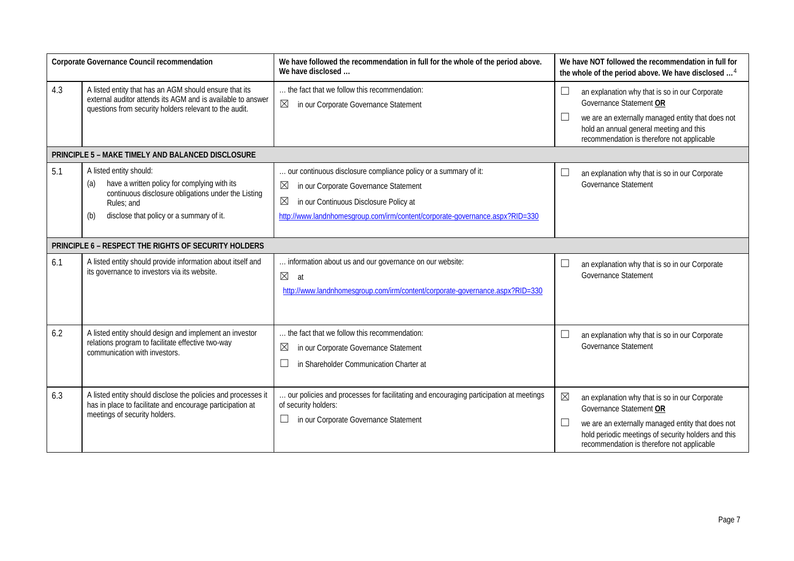| Corporate Governance Council recommendation          |                                                                                                                                                                                                        | We have followed the recommendation in full for the whole of the period above.<br>We have disclosed                                                                                                                                                              |                  | We have NOT followed the recommendation in full for<br>the whole of the period above. We have disclosed <sup>4</sup>                                                                                                                |  |
|------------------------------------------------------|--------------------------------------------------------------------------------------------------------------------------------------------------------------------------------------------------------|------------------------------------------------------------------------------------------------------------------------------------------------------------------------------------------------------------------------------------------------------------------|------------------|-------------------------------------------------------------------------------------------------------------------------------------------------------------------------------------------------------------------------------------|--|
| 4.3                                                  | A listed entity that has an AGM should ensure that its<br>external auditor attends its AGM and is available to answer<br>questions from security holders relevant to the audit.                        | the fact that we follow this recommendation:<br>$\boxtimes$<br>in our Corporate Governance Statement                                                                                                                                                             | $\Box$<br>L      | an explanation why that is so in our Corporate<br>Governance Statement OR<br>we are an externally managed entity that does not<br>hold an annual general meeting and this<br>recommendation is therefore not applicable             |  |
|                                                      | PRINCIPLE 5 - MAKE TIMELY AND BALANCED DISCLOSURE                                                                                                                                                      |                                                                                                                                                                                                                                                                  |                  |                                                                                                                                                                                                                                     |  |
| 5.1                                                  | A listed entity should:<br>have a written policy for complying with its<br>(a)<br>continuous disclosure obligations under the Listing<br>Rules; and<br>disclose that policy or a summary of it.<br>(b) | our continuous disclosure compliance policy or a summary of it:<br>$\boxtimes$<br>in our Corporate Governance Statement<br>$\boxtimes$<br>in our Continuous Disclosure Policy at<br>http://www.landnhomesgroup.com/irm/content/corporate-governance.aspx?RID=330 | $\Box$           | an explanation why that is so in our Corporate<br>Governance Statement                                                                                                                                                              |  |
| PRINCIPLE 6 - RESPECT THE RIGHTS OF SECURITY HOLDERS |                                                                                                                                                                                                        |                                                                                                                                                                                                                                                                  |                  |                                                                                                                                                                                                                                     |  |
| 6.1                                                  | A listed entity should provide information about itself and<br>its governance to investors via its website.                                                                                            | information about us and our governance on our website:<br>$\boxtimes$<br>at<br>http://www.landnhomesgroup.com/irm/content/corporate-governance.aspx?RID=330                                                                                                     | $\Box$           | an explanation why that is so in our Corporate<br>Governance Statement                                                                                                                                                              |  |
| 6.2                                                  | A listed entity should design and implement an investor<br>relations program to facilitate effective two-way<br>communication with investors                                                           | the fact that we follow this recommendation:<br>$\boxtimes$<br>in our Corporate Governance Statement<br>$\Box$<br>in Shareholder Communication Charter at                                                                                                        | $\Box$           | an explanation why that is so in our Corporate<br><b>Governance Statement</b>                                                                                                                                                       |  |
| 6.3                                                  | A listed entity should disclose the policies and processes it<br>has in place to facilitate and encourage participation at<br>meetings of security holders.                                            | our policies and processes for facilitating and encouraging participation at meetings<br>of security holders:<br>in our Corporate Governance Statement<br>$\Box$                                                                                                 | $\boxtimes$<br>L | an explanation why that is so in our Corporate<br>Governance Statement OR<br>we are an externally managed entity that does not<br>hold periodic meetings of security holders and this<br>recommendation is therefore not applicable |  |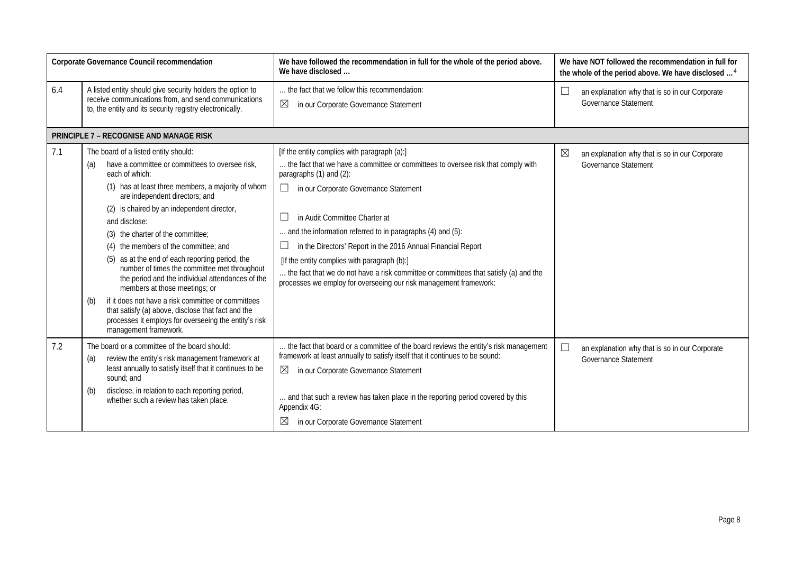| Corporate Governance Council recommendation |                                                                                                                                                                                                                                                                                                                                                                                                                                                                                                                                                                                                                                                                                                                                                    | We have followed the recommendation in full for the whole of the period above.<br>We have disclosed                                                                                                                                                                                                                                                                                                                                                                                                                                                                                   | We have NOT followed the recommendation in full for<br>the whole of the period above. We have disclosed <sup>4</sup> |
|---------------------------------------------|----------------------------------------------------------------------------------------------------------------------------------------------------------------------------------------------------------------------------------------------------------------------------------------------------------------------------------------------------------------------------------------------------------------------------------------------------------------------------------------------------------------------------------------------------------------------------------------------------------------------------------------------------------------------------------------------------------------------------------------------------|---------------------------------------------------------------------------------------------------------------------------------------------------------------------------------------------------------------------------------------------------------------------------------------------------------------------------------------------------------------------------------------------------------------------------------------------------------------------------------------------------------------------------------------------------------------------------------------|----------------------------------------------------------------------------------------------------------------------|
| 6.4                                         | A listed entity should give security holders the option to<br>receive communications from, and send communications<br>to, the entity and its security registry electronically.                                                                                                                                                                                                                                                                                                                                                                                                                                                                                                                                                                     | the fact that we follow this recommendation:<br>$\boxtimes$<br>in our Corporate Governance Statement                                                                                                                                                                                                                                                                                                                                                                                                                                                                                  | an explanation why that is so in our Corporate<br>⊔<br>Governance Statement                                          |
|                                             | <b>PRINCIPLE 7 - RECOGNISE AND MANAGE RISK</b>                                                                                                                                                                                                                                                                                                                                                                                                                                                                                                                                                                                                                                                                                                     |                                                                                                                                                                                                                                                                                                                                                                                                                                                                                                                                                                                       |                                                                                                                      |
| 7.1                                         | The board of a listed entity should:<br>have a committee or committees to oversee risk,<br>(a)<br>each of which:<br>(1) has at least three members, a majority of whom<br>are independent directors; and<br>(2) is chaired by an independent director,<br>and disclose:<br>(3) the charter of the committee;<br>(4) the members of the committee; and<br>(5) as at the end of each reporting period, the<br>number of times the committee met throughout<br>the period and the individual attendances of the<br>members at those meetings; or<br>if it does not have a risk committee or committees<br>(b)<br>that satisfy (a) above, disclose that fact and the<br>processes it employs for overseeing the entity's risk<br>management framework. | [If the entity complies with paragraph (a):]<br>the fact that we have a committee or committees to oversee risk that comply with<br>paragraphs (1) and (2):<br>⊔<br>in our Corporate Governance Statement<br>in Audit Committee Charter at<br>and the information referred to in paragraphs (4) and (5):<br>in the Directors' Report in the 2016 Annual Financial Report<br>[If the entity complies with paragraph (b):]<br>the fact that we do not have a risk committee or committees that satisfy (a) and the<br>processes we employ for overseeing our risk management framework: | $\boxtimes$<br>an explanation why that is so in our Corporate<br>Governance Statement                                |
| 7.2                                         | The board or a committee of the board should:<br>review the entity's risk management framework at<br>(a)<br>least annually to satisfy itself that it continues to be<br>sound; and<br>disclose, in relation to each reporting period,<br>(b)<br>whether such a review has taken place.                                                                                                                                                                                                                                                                                                                                                                                                                                                             | the fact that board or a committee of the board reviews the entity's risk management<br>framework at least annually to satisfy itself that it continues to be sound:<br>⊠<br>in our Corporate Governance Statement<br>and that such a review has taken place in the reporting period covered by this<br>Appendix 4G:<br>⊠<br>in our Corporate Governance Statement                                                                                                                                                                                                                    | ⊔<br>an explanation why that is so in our Corporate<br>Governance Statement                                          |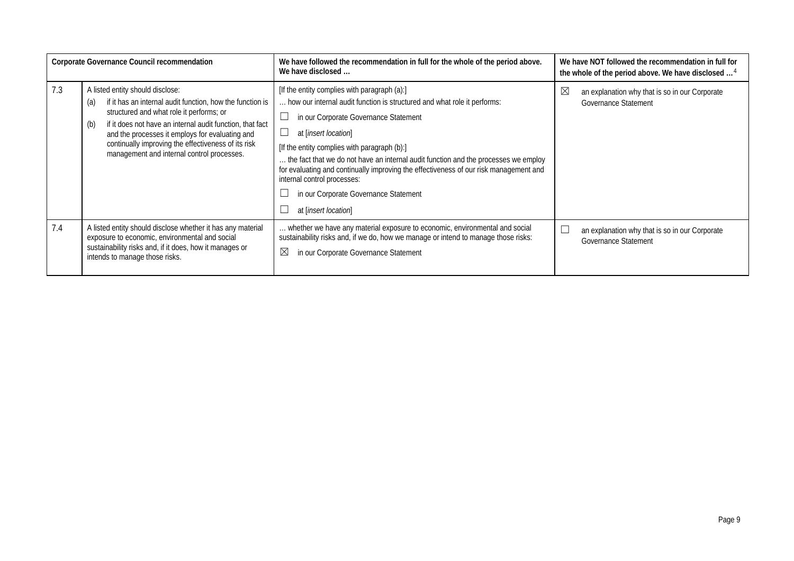| Corporate Governance Council recommendation |                                                                                                                                                                                                                                                                                                                                                                              | We have followed the recommendation in full for the whole of the period above.<br>We have disclosed                                                                                                                                                                                                                                                                                                                                                                                                                            | We have NOT followed the recommendation in full for<br>the whole of the period above. We have disclosed |
|---------------------------------------------|------------------------------------------------------------------------------------------------------------------------------------------------------------------------------------------------------------------------------------------------------------------------------------------------------------------------------------------------------------------------------|--------------------------------------------------------------------------------------------------------------------------------------------------------------------------------------------------------------------------------------------------------------------------------------------------------------------------------------------------------------------------------------------------------------------------------------------------------------------------------------------------------------------------------|---------------------------------------------------------------------------------------------------------|
| 7.3                                         | A listed entity should disclose:<br>if it has an internal audit function, how the function is<br>(a)<br>structured and what role it performs; or<br>if it does not have an internal audit function, that fact<br>(b)<br>and the processes it employs for evaluating and<br>continually improving the effectiveness of its risk<br>management and internal control processes. | [If the entity complies with paragraph (a):]<br>how our internal audit function is structured and what role it performs:<br>in our Corporate Governance Statement<br>at [insert location]<br>ப<br>[If the entity complies with paragraph (b):]<br>the fact that we do not have an internal audit function and the processes we employ<br>for evaluating and continually improving the effectiveness of our risk management and<br>internal control processes:<br>in our Corporate Governance Statement<br>at [insert location] | $\boxtimes$<br>an explanation why that is so in our Corporate<br><b>Governance Statement</b>            |
| 7.4                                         | A listed entity should disclose whether it has any material<br>exposure to economic, environmental and social<br>sustainability risks and, if it does, how it manages or<br>intends to manage those risks.                                                                                                                                                                   | whether we have any material exposure to economic, environmental and social<br>sustainability risks and, if we do, how we manage or intend to manage those risks:<br>⊠<br>in our Corporate Governance Statement                                                                                                                                                                                                                                                                                                                | an explanation why that is so in our Corporate<br>Governance Statement                                  |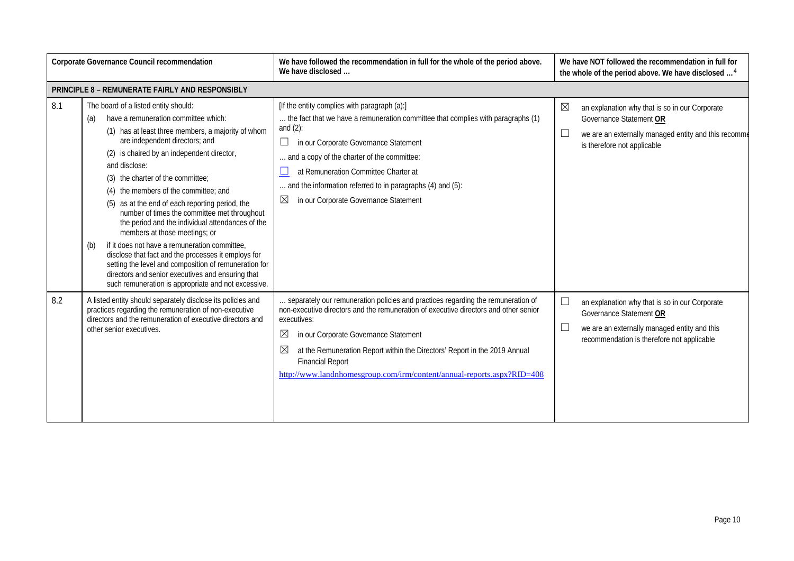| Corporate Governance Council recommendation |                                                                                                                                                                                                                                                                                                                                                                                                                                                                                                                                                                                                                                                                                                                                                                                                  | We have followed the recommendation in full for the whole of the period above.<br>We have disclosed                                                                                                                                                                                                                                                                                                                                               | We have NOT followed the recommendation in full for<br>the whole of the period above. We have disclosed <sup>4</sup>                                                            |
|---------------------------------------------|--------------------------------------------------------------------------------------------------------------------------------------------------------------------------------------------------------------------------------------------------------------------------------------------------------------------------------------------------------------------------------------------------------------------------------------------------------------------------------------------------------------------------------------------------------------------------------------------------------------------------------------------------------------------------------------------------------------------------------------------------------------------------------------------------|---------------------------------------------------------------------------------------------------------------------------------------------------------------------------------------------------------------------------------------------------------------------------------------------------------------------------------------------------------------------------------------------------------------------------------------------------|---------------------------------------------------------------------------------------------------------------------------------------------------------------------------------|
|                                             | PRINCIPLE 8 - REMUNERATE FAIRLY AND RESPONSIBLY                                                                                                                                                                                                                                                                                                                                                                                                                                                                                                                                                                                                                                                                                                                                                  |                                                                                                                                                                                                                                                                                                                                                                                                                                                   |                                                                                                                                                                                 |
| 8.1                                         | The board of a listed entity should:<br>have a remuneration committee which:<br>(a)<br>(1) has at least three members, a majority of whom<br>are independent directors; and<br>(2) is chaired by an independent director,<br>and disclose:<br>(3) the charter of the committee;<br>the members of the committee: and<br>(5) as at the end of each reporting period, the<br>number of times the committee met throughout<br>the period and the individual attendances of the<br>members at those meetings; or<br>if it does not have a remuneration committee,<br>(b)<br>disclose that fact and the processes it employs for<br>setting the level and composition of remuneration for<br>directors and senior executives and ensuring that<br>such remuneration is appropriate and not excessive. | [If the entity complies with paragraph (a):]<br>the fact that we have a remuneration committee that complies with paragraphs (1)<br>and $(2)$ :<br>$\Box$<br>in our Corporate Governance Statement<br>. and a copy of the charter of the committee:<br>at Remuneration Committee Charter at<br>$\sqcup$<br>and the information referred to in paragraphs (4) and (5):<br>$\boxtimes$<br>in our Corporate Governance Statement                     | $\boxtimes$<br>an explanation why that is so in our Corporate<br>Governance Statement OR<br>we are an externally managed entity and this recomme<br>is therefore not applicable |
| 8.2                                         | A listed entity should separately disclose its policies and<br>practices regarding the remuneration of non-executive<br>directors and the remuneration of executive directors and<br>other senior executives.                                                                                                                                                                                                                                                                                                                                                                                                                                                                                                                                                                                    | separately our remuneration policies and practices regarding the remuneration of<br>non-executive directors and the remuneration of executive directors and other senior<br>executives:<br>$\boxtimes$<br>in our Corporate Governance Statement<br>$\boxtimes$<br>at the Remuneration Report within the Directors' Report in the 2019 Annual<br><b>Financial Report</b><br>http://www.landnhomesgroup.com/irm/content/annual-reports.aspx?RID=408 | an explanation why that is so in our Corporate<br>Governance Statement OR<br>we are an externally managed entity and this<br>recommendation is therefore not applicable         |